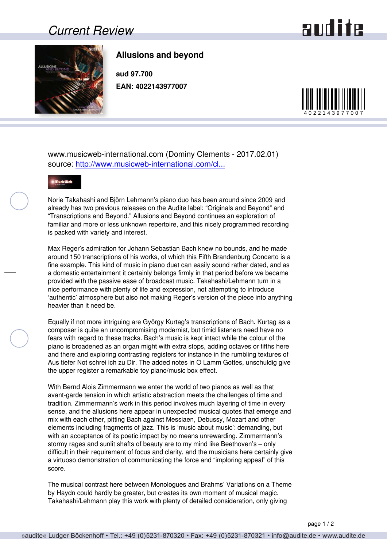## *Current Review*

## and ite



## **Allusions and beyond**

**aud 97.700 EAN: 4022143977007**



www.musicweb-international.com (Dominy Clements - 2017.02.01) source: [http://www.musicweb-international.com/cl...](http://www.musicweb-international.com/classrev/2017/Feb/Allusions_beyond_97700.htm)



Norie Takahashi and Björn Lehmann's piano duo has been around since 2009 and already has two previous releases on the Audite label: "Originals and Beyond" and "Transcriptions and Beyond." Allusions and Beyond continues an exploration of familiar and more or less unknown repertoire, and this nicely programmed recording is packed with variety and interest.

Max Reger's admiration for Johann Sebastian Bach knew no bounds, and he made around 150 transcriptions of his works, of which this Fifth Brandenburg Concerto is a fine example. This kind of music in piano duet can easily sound rather dated, and as a domestic entertainment it certainly belongs firmly in that period before we became provided with the passive ease of broadcast music. Takahashi/Lehmann turn in a nice performance with plenty of life and expression, not attempting to introduce 'authentic' atmosphere but also not making Reger's version of the piece into anything heavier than it need be.

Equally if not more intriguing are György Kurtag's transcriptions of Bach. Kurtag as a composer is quite an uncompromising modernist, but timid listeners need have no fears with regard to these tracks. Bach's music is kept intact while the colour of the piano is broadened as an organ might with extra stops, adding octaves or fifths here and there and exploring contrasting registers for instance in the rumbling textures of Aus tiefer Not schrei ich zu Dir. The added notes in O Lamm Gottes, unschuldig give the upper register a remarkable toy piano/music box effect.

With Bernd Alois Zimmermann we enter the world of two pianos as well as that avant-garde tension in which artistic abstraction meets the challenges of time and tradition. Zimmermann's work in this period involves much layering of time in every sense, and the allusions here appear in unexpected musical quotes that emerge and mix with each other, pitting Bach against Messiaen, Debussy, Mozart and other elements including fragments of jazz. This is 'music about music': demanding, but with an acceptance of its poetic impact by no means unrewarding. Zimmermann's stormy rages and sunlit shafts of beauty are to my mind like Beethoven's – only difficult in their requirement of focus and clarity, and the musicians here certainly give a virtuoso demonstration of communicating the force and "imploring appeal" of this score.

The musical contrast here between Monologues and Brahms' Variations on a Theme by Haydn could hardly be greater, but creates its own moment of musical magic. Takahashi/Lehmann play this work with plenty of detailed consideration, only giving